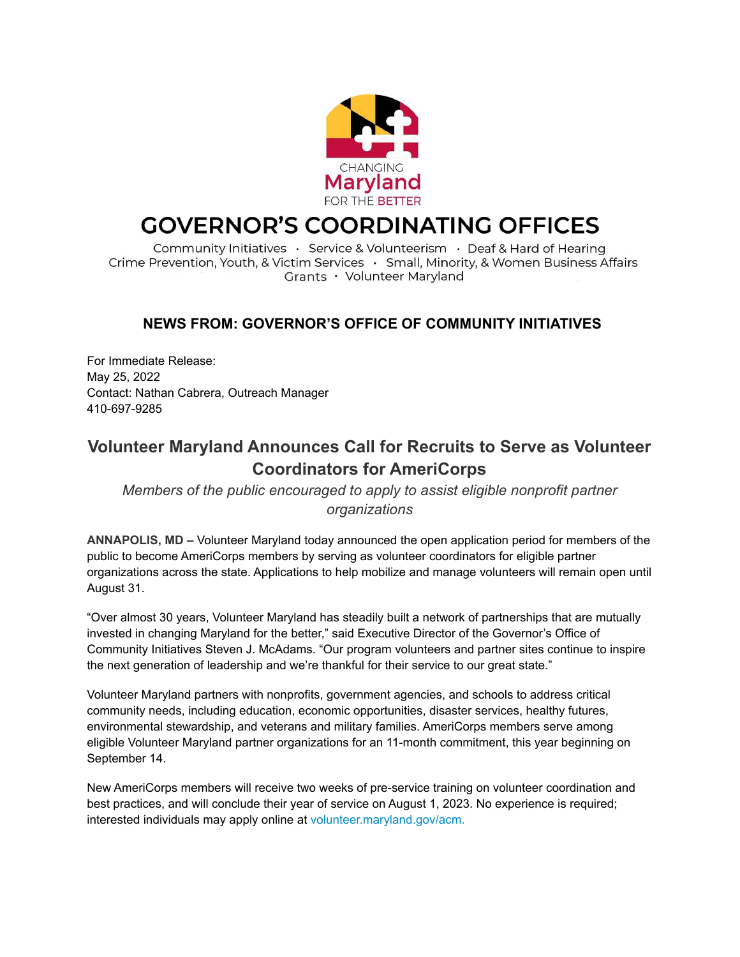

# **GOVERNOR'S COORDINATING OFFICES**

Community Initiatives · Service & Volunteerism · Deaf & Hard of Hearing Crime Prevention, Youth, & Victim Services  $\cdot$  Small, Minority, & Women Business Affairs Grants · Volunteer Maryland

### **NEWS FROM: GOVERNOR'S OFFICE OF COMMUNITY INITIATIVES**

For Immediate Release: May 25, 2022 Contact: Nathan Cabrera, Outreach Manager 410-697-9285

## **Volunteer Maryland Announces Call for Recruits to Serve as Volunteer Coordinators for AmeriCorps**

*Members of the public encouraged to apply to assist eligible nonprofit partner organizations*

**ANNAPOLIS, MD –** Volunteer Maryland today announced the open application period for members of the public to become AmeriCorps members by serving as volunteer coordinators for eligible partner organizations across the state. Applications to help mobilize and manage volunteers will remain open until August 31.

"Over almost 30 years, Volunteer Maryland has steadily built a network of partnerships that are mutually invested in changing Maryland for the better," said Executive Director of the Governor's Office of Community Initiatives Steven J. McAdams. "Our program volunteers and partner sites continue to inspire the next generation of leadership and we're thankful for their service to our great state."

Volunteer Maryland partners with nonprofits, government agencies, and schools to address critical community needs, including education, economic opportunities, disaster services, healthy futures, environmental stewardship, and veterans and military families. AmeriCorps members serve among eligible Volunteer Maryland partner organizations for an 11-month commitment, this year beginning on September 14.

New AmeriCorps members will receive two weeks of pre-service training on volunteer coordination and best practices, and will conclude their year of service on August 1, 2023. No experience is required; interested individuals may apply online at [volunteer.maryland.gov](http://volunteer.maryland.gov/ServiceSites)/acm.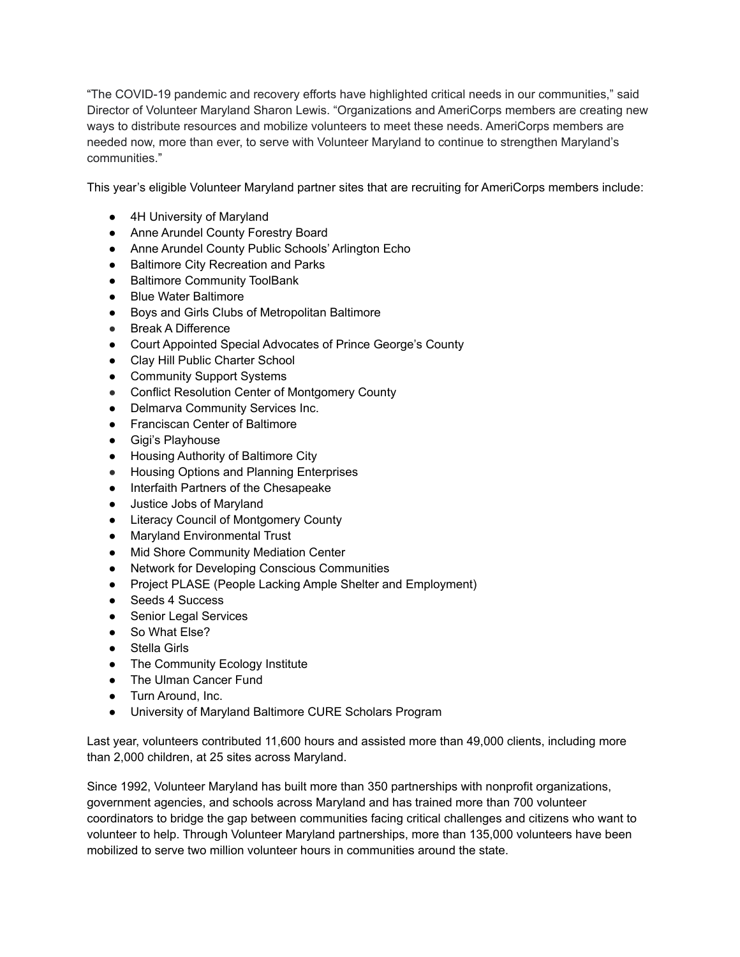"The COVID-19 pandemic and recovery efforts have highlighted critical needs in our communities," said Director of Volunteer Maryland Sharon Lewis. "Organizations and AmeriCorps members are creating new ways to distribute resources and mobilize volunteers to meet these needs. AmeriCorps members are needed now, more than ever, to serve with Volunteer Maryland to continue to strengthen Maryland's communities."

This year's eligible Volunteer Maryland partner sites that are recruiting for AmeriCorps members include:

- 4H University of Maryland
- Anne Arundel County Forestry Board
- Anne Arundel County Public Schools' Arlington Echo
- Baltimore City Recreation and Parks
- Baltimore Community ToolBank
- Blue Water Baltimore
- Boys and Girls Clubs of Metropolitan Baltimore
- Break A Difference
- Court Appointed Special Advocates of Prince George's County
- Clay Hill Public Charter School
- Community Support Systems
- Conflict Resolution Center of Montgomery County
- Delmarva Community Services Inc.
- Franciscan Center of Baltimore
- Gigi's Playhouse
- Housing Authority of Baltimore City
- Housing Options and Planning Enterprises
- Interfaith Partners of the Chesapeake
- Justice Jobs of Maryland
- Literacy Council of Montgomery County
- Maryland Environmental Trust
- Mid Shore Community Mediation Center
- Network for Developing Conscious Communities
- Project PLASE (People Lacking Ample Shelter and Employment)
- Seeds 4 Success
- Senior Legal Services
- So What Else?
- Stella Girls
- The Community Ecology Institute
- The Ulman Cancer Fund
- Turn Around, Inc.
- University of Maryland Baltimore CURE Scholars Program

Last year, volunteers contributed 11,600 hours and assisted more than 49,000 clients, including more than 2,000 children, at 25 sites across Maryland.

Since 1992, Volunteer Maryland has built more than 350 partnerships with nonprofit organizations, government agencies, and schools across Maryland and has trained more than 700 volunteer coordinators to bridge the gap between communities facing critical challenges and citizens who want to volunteer to help. Through Volunteer Maryland partnerships, more than 135,000 volunteers have been mobilized to serve two million volunteer hours in communities around the state.